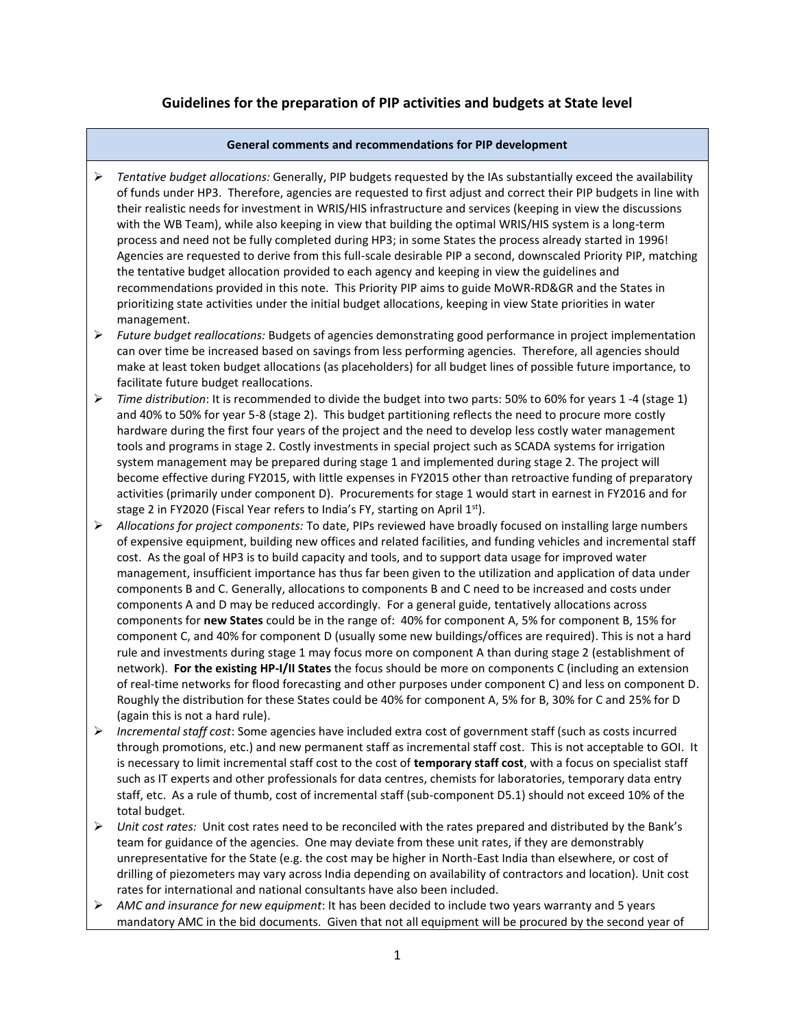## **Guidelines for the preparation of PIP activities and budgets at State level**

## **General comments and recommendations for PIP development**

- *Tentative budget allocations:* Generally, PIP budgets requested by the IAs substantially exceed the availability of funds under HP3. Therefore, agencies are requested to first adjust and correct their PIP budgets in line with their realistic needs for investment in WRIS/HIS infrastructure and services (keeping in view the discussions with the WB Team), while also keeping in view that building the optimal WRIS/HIS system is a long-term process and need not be fully completed during HP3; in some States the process already started in 1996! Agencies are requested to derive from this full-scale desirable PIP a second, downscaled Priority PIP, matching the tentative budget allocation provided to each agency and keeping in view the guidelines and recommendations provided in this note. This Priority PIP aims to guide MoWR-RD&GR and the States in prioritizing state activities under the initial budget allocations, keeping in view State priorities in water management.
- *Future budget reallocations:* Budgets of agencies demonstrating good performance in project implementation can over time be increased based on savings from less performing agencies. Therefore, all agencies should make at least token budget allocations (as placeholders) for all budget lines of possible future importance, to facilitate future budget reallocations.
- *Time distribution*: It is recommended to divide the budget into two parts: 50% to 60% for years 1 -4 (stage 1) and 40% to 50% for year 5-8 (stage 2). This budget partitioning reflects the need to procure more costly hardware during the first four years of the project and the need to develop less costly water management tools and programs in stage 2. Costly investments in special project such as SCADA systems for irrigation system management may be prepared during stage 1 and implemented during stage 2. The project will become effective during FY2015, with little expenses in FY2015 other than retroactive funding of preparatory activities (primarily under component D). Procurements for stage 1 would start in earnest in FY2016 and for stage 2 in FY2020 (Fiscal Year refers to India's FY, starting on April  $1<sup>st</sup>$ ).
- *Allocations for project components:* To date, PIPs reviewed have broadly focused on installing large numbers of expensive equipment, building new offices and related facilities, and funding vehicles and incremental staff cost. As the goal of HP3 is to build capacity and tools, and to support data usage for improved water management, insufficient importance has thus far been given to the utilization and application of data under components B and C. Generally, allocations to components B and C need to be increased and costs under components A and D may be reduced accordingly. For a general guide, tentatively allocations across components for **new States** could be in the range of: 40% for component A, 5% for component B, 15% for component C, and 40% for component D (usually some new buildings/offices are required). This is not a hard rule and investments during stage 1 may focus more on component A than during stage 2 (establishment of network). **For the existing HP-I/II States** the focus should be more on components C (including an extension of real-time networks for flood forecasting and other purposes under component C) and less on component D. Roughly the distribution for these States could be 40% for component A, 5% for B, 30% for C and 25% for D (again this is not a hard rule).
- *Incremental staff cost*: Some agencies have included extra cost of government staff (such as costs incurred through promotions, etc.) and new permanent staff as incremental staff cost. This is not acceptable to GOI. It is necessary to limit incremental staff cost to the cost of **temporary staff cost**, with a focus on specialist staff such as IT experts and other professionals for data centres, chemists for laboratories, temporary data entry staff, etc. As a rule of thumb, cost of incremental staff (sub-component D5.1) should not exceed 10% of the total budget.
- *Unit cost rates:* Unit cost rates need to be reconciled with the rates prepared and distributed by the Bank's team for guidance of the agencies. One may deviate from these unit rates, if they are demonstrably unrepresentative for the State (e.g. the cost may be higher in North-East India than elsewhere, or cost of drilling of piezometers may vary across India depending on availability of contractors and location). Unit cost rates for international and national consultants have also been included.
- *AMC and insurance for new equipment*: It has been decided to include two years warranty and 5 years mandatory AMC in the bid documents. Given that not all equipment will be procured by the second year of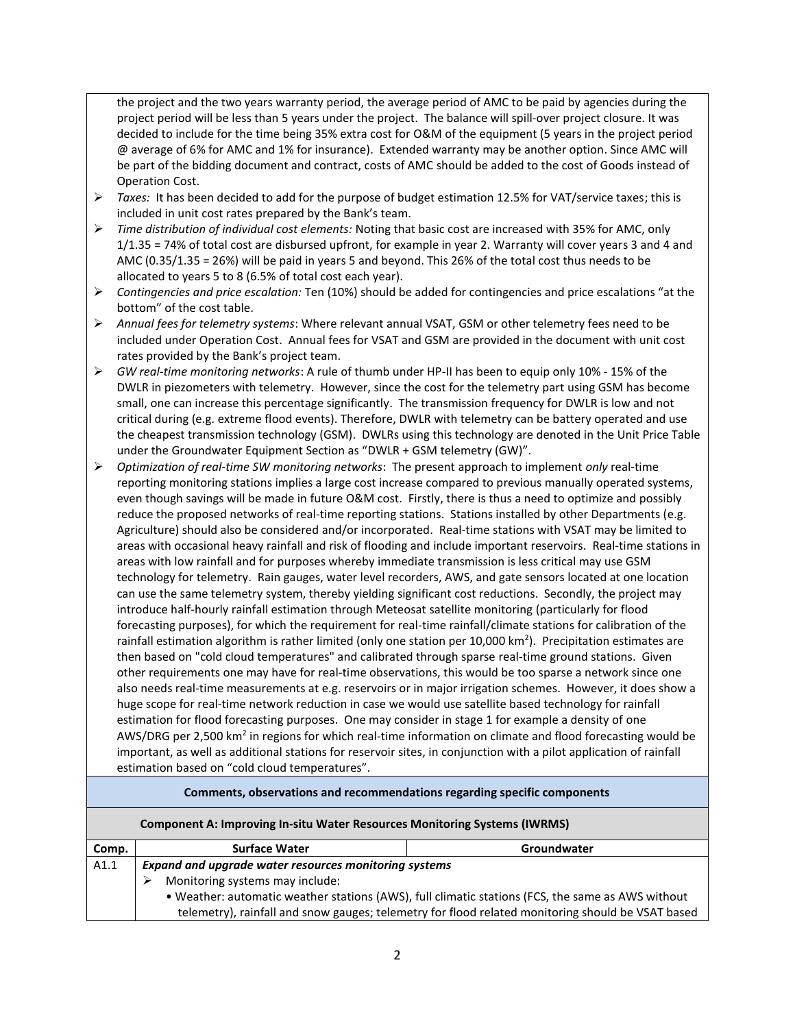the project and the two years warranty period, the average period of AMC to be paid by agencies during the project period will be less than 5 years under the project. The balance will spill-over project closure. It was decided to include for the time being 35% extra cost for O&M of the equipment (5 years in the project period @ average of 6% for AMC and 1% for insurance). Extended warranty may be another option. Since AMC will be part of the bidding document and contract, costs of AMC should be added to the cost of Goods instead of Operation Cost.

- *Taxes:* It has been decided to add for the purpose of budget estimation 12.5% for VAT/service taxes; this is included in unit cost rates prepared by the Bank's team.
- *Time distribution of individual cost elements:* Noting that basic cost are increased with 35% for AMC, only 1/1.35 = 74% of total cost are disbursed upfront, for example in year 2. Warranty will cover years 3 and 4 and AMC (0.35/1.35 = 26%) will be paid in years 5 and beyond. This 26% of the total cost thus needs to be allocated to years 5 to 8 (6.5% of total cost each year).
- *Contingencies and price escalation:* Ten (10%) should be added for contingencies and price escalations "at the bottom" of the cost table.
- *Annual fees for telemetry systems*: Where relevant annual VSAT, GSM or other telemetry fees need to be included under Operation Cost. Annual fees for VSAT and GSM are provided in the document with unit cost rates provided by the Bank's project team.
- *GW real-time monitoring networks*: A rule of thumb under HP-II has been to equip only 10% 15% of the DWLR in piezometers with telemetry. However, since the cost for the telemetry part using GSM has become small, one can increase this percentage significantly. The transmission frequency for DWLR is low and not critical during (e.g. extreme flood events). Therefore, DWLR with telemetry can be battery operated and use the cheapest transmission technology (GSM). DWLRs using this technology are denoted in the Unit Price Table under the Groundwater Equipment Section as "DWLR + GSM telemetry (GW)".
- *Optimization of real-time SW monitoring networks*: The present approach to implement *only* real-time reporting monitoring stations implies a large cost increase compared to previous manually operated systems, even though savings will be made in future O&M cost. Firstly, there is thus a need to optimize and possibly reduce the proposed networks of real-time reporting stations. Stations installed by other Departments (e.g. Agriculture) should also be considered and/or incorporated. Real-time stations with VSAT may be limited to areas with occasional heavy rainfall and risk of flooding and include important reservoirs. Real-time stations in areas with low rainfall and for purposes whereby immediate transmission is less critical may use GSM technology for telemetry. Rain gauges, water level recorders, AWS, and gate sensors located at one location can use the same telemetry system, thereby yielding significant cost reductions. Secondly, the project may introduce half-hourly rainfall estimation through Meteosat satellite monitoring (particularly for flood forecasting purposes), for which the requirement for real-time rainfall/climate stations for calibration of the rainfall estimation algorithm is rather limited (only one station per 10,000 km<sup>2</sup>). Precipitation estimates are then based on "cold cloud temperatures" and calibrated through sparse real-time ground stations. Given other requirements one may have for real-time observations, this would be too sparse a network since one also needs real-time measurements at e.g. reservoirs or in major irrigation schemes. However, it does show a huge scope for real-time network reduction in case we would use satellite based technology for rainfall estimation for flood forecasting purposes. One may consider in stage 1 for example a density of one AWS/DRG per 2,500 km<sup>2</sup> in regions for which real-time information on climate and flood forecasting would be important, as well as additional stations for reservoir sites, in conjunction with a pilot application of rainfall estimation based on "cold cloud temperatures".

## **Comments, observations and recommendations regarding specific components**

| <b>Component A: Improving In-situ Water Resources Monitoring Systems (IWRMS)</b> |                                                                                                   |                                                                                                   |  |
|----------------------------------------------------------------------------------|---------------------------------------------------------------------------------------------------|---------------------------------------------------------------------------------------------------|--|
| Comp.                                                                            | <b>Surface Water</b>                                                                              | Groundwater                                                                                       |  |
| A1.1                                                                             | Expand and upgrade water resources monitoring systems                                             |                                                                                                   |  |
|                                                                                  | Monitoring systems may include:                                                                   |                                                                                                   |  |
|                                                                                  | . Weather: automatic weather stations (AWS), full climatic stations (FCS, the same as AWS without |                                                                                                   |  |
|                                                                                  |                                                                                                   | telemetry), rainfall and snow gauges; telemetry for flood related monitoring should be VSAT based |  |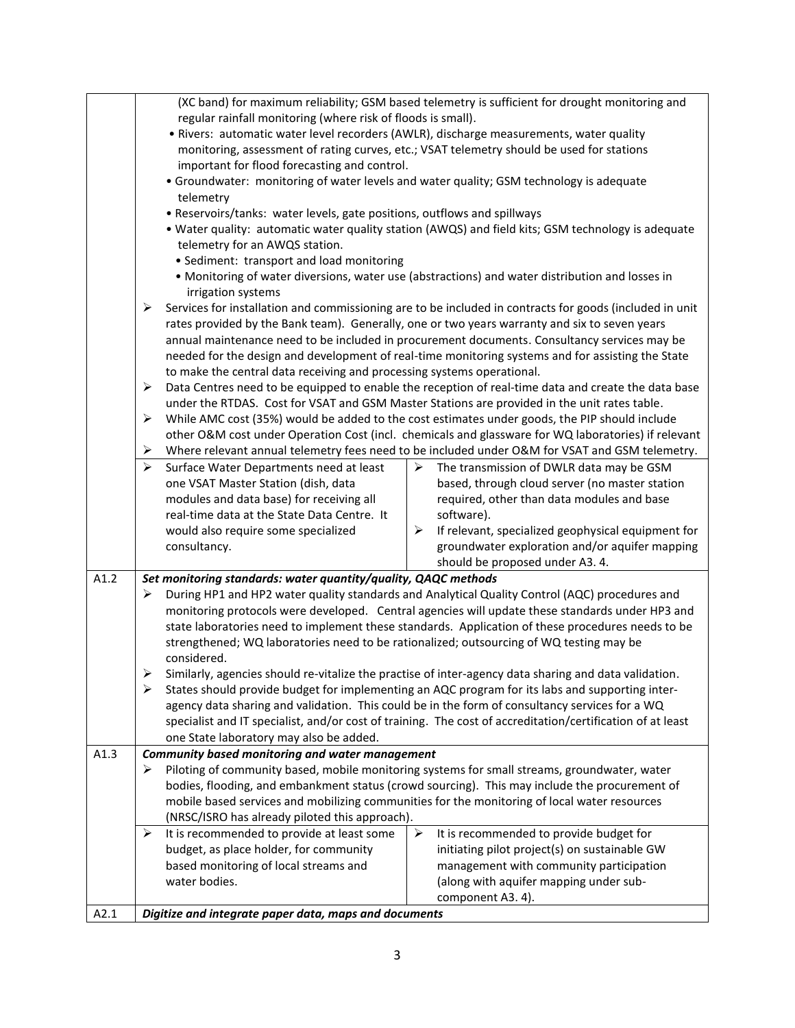|      | (XC band) for maximum reliability; GSM based telemetry is sufficient for drought monitoring and                     |  |  |
|------|---------------------------------------------------------------------------------------------------------------------|--|--|
|      | regular rainfall monitoring (where risk of floods is small).                                                        |  |  |
|      | · Rivers: automatic water level recorders (AWLR), discharge measurements, water quality                             |  |  |
|      | monitoring, assessment of rating curves, etc.; VSAT telemetry should be used for stations                           |  |  |
|      | important for flood forecasting and control.                                                                        |  |  |
|      | • Groundwater: monitoring of water levels and water quality; GSM technology is adequate                             |  |  |
|      | telemetry                                                                                                           |  |  |
|      | • Reservoirs/tanks: water levels, gate positions, outflows and spillways                                            |  |  |
|      | . Water quality: automatic water quality station (AWQS) and field kits; GSM technology is adequate                  |  |  |
|      | telemetry for an AWQS station.                                                                                      |  |  |
|      | • Sediment: transport and load monitoring                                                                           |  |  |
|      | • Monitoring of water diversions, water use (abstractions) and water distribution and losses in                     |  |  |
|      | irrigation systems                                                                                                  |  |  |
|      | Services for installation and commissioning are to be included in contracts for goods (included in unit<br>➤        |  |  |
|      | rates provided by the Bank team). Generally, one or two years warranty and six to seven years                       |  |  |
|      | annual maintenance need to be included in procurement documents. Consultancy services may be                        |  |  |
|      | needed for the design and development of real-time monitoring systems and for assisting the State                   |  |  |
|      | to make the central data receiving and processing systems operational.                                              |  |  |
|      | ➤<br>Data Centres need to be equipped to enable the reception of real-time data and create the data base            |  |  |
|      | under the RTDAS. Cost for VSAT and GSM Master Stations are provided in the unit rates table.                        |  |  |
|      | While AMC cost (35%) would be added to the cost estimates under goods, the PIP should include<br>➤                  |  |  |
|      | other O&M cost under Operation Cost (incl. chemicals and glassware for WQ laboratories) if relevant                 |  |  |
|      | Where relevant annual telemetry fees need to be included under O&M for VSAT and GSM telemetry.<br>➤                 |  |  |
|      | ➤<br>Surface Water Departments need at least<br>The transmission of DWLR data may be GSM<br>➤                       |  |  |
|      | one VSAT Master Station (dish, data<br>based, through cloud server (no master station                               |  |  |
|      | modules and data base) for receiving all<br>required, other than data modules and base                              |  |  |
|      | real-time data at the State Data Centre. It<br>software).                                                           |  |  |
|      | would also require some specialized<br>≻<br>If relevant, specialized geophysical equipment for                      |  |  |
|      | groundwater exploration and/or aquifer mapping<br>consultancy.                                                      |  |  |
|      | should be proposed under A3. 4.                                                                                     |  |  |
| A1.2 | Set monitoring standards: water quantity/quality, QAQC methods                                                      |  |  |
|      | During HP1 and HP2 water quality standards and Analytical Quality Control (AQC) procedures and<br>➤                 |  |  |
|      | monitoring protocols were developed. Central agencies will update these standards under HP3 and                     |  |  |
|      | state laboratories need to implement these standards. Application of these procedures needs to be                   |  |  |
|      | strengthened; WQ laboratories need to be rationalized; outsourcing of WQ testing may be                             |  |  |
|      | considered.                                                                                                         |  |  |
|      | Similarly, agencies should re-vitalize the practise of inter-agency data sharing and data validation.               |  |  |
|      | States should provide budget for implementing an AQC program for its labs and supporting inter-<br>➤                |  |  |
|      | agency data sharing and validation. This could be in the form of consultancy services for a WQ                      |  |  |
|      | specialist and IT specialist, and/or cost of training. The cost of accreditation/certification of at least          |  |  |
|      | one State laboratory may also be added.                                                                             |  |  |
| A1.3 | Community based monitoring and water management                                                                     |  |  |
|      | Piloting of community based, mobile monitoring systems for small streams, groundwater, water<br>➤                   |  |  |
|      | bodies, flooding, and embankment status (crowd sourcing). This may include the procurement of                       |  |  |
|      | mobile based services and mobilizing communities for the monitoring of local water resources                        |  |  |
|      | (NRSC/ISRO has already piloted this approach).                                                                      |  |  |
|      | It is recommended to provide at least some<br>$\blacktriangleright$<br>It is recommended to provide budget for<br>➤ |  |  |
|      | budget, as place holder, for community<br>initiating pilot project(s) on sustainable GW                             |  |  |
|      | based monitoring of local streams and<br>management with community participation                                    |  |  |
|      | water bodies.<br>(along with aquifer mapping under sub-                                                             |  |  |
|      | component A3. 4).                                                                                                   |  |  |
| A2.1 | Digitize and integrate paper data, maps and documents                                                               |  |  |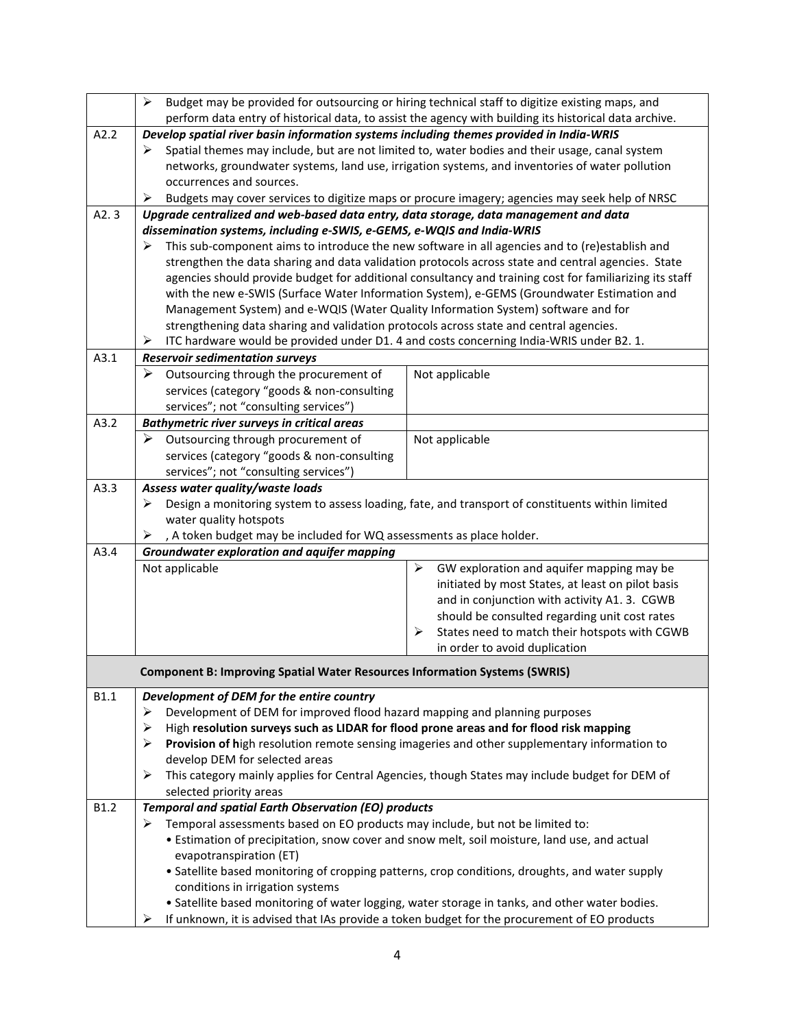|             | ≻                                                                                                                                                                                                      | Budget may be provided for outsourcing or hiring technical staff to digitize existing maps, and  |  |
|-------------|--------------------------------------------------------------------------------------------------------------------------------------------------------------------------------------------------------|--------------------------------------------------------------------------------------------------|--|
| A2.2        | perform data entry of historical data, to assist the agency with building its historical data archive.                                                                                                 |                                                                                                  |  |
|             | Develop spatial river basin information systems including themes provided in India-WRIS                                                                                                                |                                                                                                  |  |
|             | Spatial themes may include, but are not limited to, water bodies and their usage, canal system<br>➤<br>networks, groundwater systems, land use, irrigation systems, and inventories of water pollution |                                                                                                  |  |
|             | occurrences and sources.                                                                                                                                                                               |                                                                                                  |  |
|             | ➤                                                                                                                                                                                                      | Budgets may cover services to digitize maps or procure imagery; agencies may seek help of NRSC   |  |
| A2.3        |                                                                                                                                                                                                        |                                                                                                  |  |
|             | Upgrade centralized and web-based data entry, data storage, data management and data                                                                                                                   |                                                                                                  |  |
|             | dissemination systems, including e-SWIS, e-GEMS, e-WQIS and India-WRIS<br>➤                                                                                                                            |                                                                                                  |  |
|             | This sub-component aims to introduce the new software in all agencies and to (re)establish and<br>strengthen the data sharing and data validation protocols across state and central agencies. State   |                                                                                                  |  |
|             | agencies should provide budget for additional consultancy and training cost for familiarizing its staff                                                                                                |                                                                                                  |  |
|             | with the new e-SWIS (Surface Water Information System), e-GEMS (Groundwater Estimation and                                                                                                             |                                                                                                  |  |
|             | Management System) and e-WQIS (Water Quality Information System) software and for                                                                                                                      |                                                                                                  |  |
|             | strengthening data sharing and validation protocols across state and central agencies.                                                                                                                 |                                                                                                  |  |
|             | ITC hardware would be provided under D1. 4 and costs concerning India-WRIS under B2. 1.<br>➤                                                                                                           |                                                                                                  |  |
| A3.1        | <b>Reservoir sedimentation surveys</b>                                                                                                                                                                 |                                                                                                  |  |
|             | ➤<br>Outsourcing through the procurement of                                                                                                                                                            | Not applicable                                                                                   |  |
|             | services (category "goods & non-consulting                                                                                                                                                             |                                                                                                  |  |
|             | services"; not "consulting services")                                                                                                                                                                  |                                                                                                  |  |
| A3.2        | <b>Bathymetric river surveys in critical areas</b>                                                                                                                                                     |                                                                                                  |  |
|             | $\triangleright$ Outsourcing through procurement of                                                                                                                                                    | Not applicable                                                                                   |  |
|             | services (category "goods & non-consulting                                                                                                                                                             |                                                                                                  |  |
|             | services"; not "consulting services")                                                                                                                                                                  |                                                                                                  |  |
| A3.3        | Assess water quality/waste loads                                                                                                                                                                       |                                                                                                  |  |
|             | ➤                                                                                                                                                                                                      | Design a monitoring system to assess loading, fate, and transport of constituents within limited |  |
|             | water quality hotspots                                                                                                                                                                                 |                                                                                                  |  |
|             | , A token budget may be included for WQ assessments as place holder.<br>➤                                                                                                                              |                                                                                                  |  |
| A3.4        | <b>Groundwater exploration and aquifer mapping</b>                                                                                                                                                     |                                                                                                  |  |
|             | Not applicable                                                                                                                                                                                         | GW exploration and aquifer mapping may be<br>➤                                                   |  |
|             |                                                                                                                                                                                                        | initiated by most States, at least on pilot basis                                                |  |
|             |                                                                                                                                                                                                        | and in conjunction with activity A1. 3. CGWB                                                     |  |
|             |                                                                                                                                                                                                        | should be consulted regarding unit cost rates                                                    |  |
|             |                                                                                                                                                                                                        | States need to match their hotspots with CGWB<br>⋗                                               |  |
|             |                                                                                                                                                                                                        | in order to avoid duplication                                                                    |  |
|             | <b>Component B: Improving Spatial Water Resources Information Systems (SWRIS)</b>                                                                                                                      |                                                                                                  |  |
| <b>B1.1</b> | Development of DEM for the entire country                                                                                                                                                              |                                                                                                  |  |
|             | Development of DEM for improved flood hazard mapping and planning purposes<br>➤                                                                                                                        |                                                                                                  |  |
|             | High resolution surveys such as LIDAR for flood prone areas and for flood risk mapping<br>➤                                                                                                            |                                                                                                  |  |
|             | ➤                                                                                                                                                                                                      | Provision of high resolution remote sensing imageries and other supplementary information to     |  |
|             | develop DEM for selected areas                                                                                                                                                                         |                                                                                                  |  |
|             | ➤                                                                                                                                                                                                      | This category mainly applies for Central Agencies, though States may include budget for DEM of   |  |
|             | selected priority areas                                                                                                                                                                                |                                                                                                  |  |
| B1.2        | <b>Temporal and spatial Earth Observation (EO) products</b>                                                                                                                                            |                                                                                                  |  |
|             | Temporal assessments based on EO products may include, but not be limited to:<br>➤                                                                                                                     |                                                                                                  |  |
|             |                                                                                                                                                                                                        | • Estimation of precipitation, snow cover and snow melt, soil moisture, land use, and actual     |  |
|             | evapotranspiration (ET)                                                                                                                                                                                |                                                                                                  |  |
|             | • Satellite based monitoring of cropping patterns, crop conditions, droughts, and water supply<br>conditions in irrigation systems                                                                     |                                                                                                  |  |
|             |                                                                                                                                                                                                        |                                                                                                  |  |
|             | • Satellite based monitoring of water logging, water storage in tanks, and other water bodies.                                                                                                         |                                                                                                  |  |
|             | ➤                                                                                                                                                                                                      | If unknown, it is advised that IAs provide a token budget for the procurement of EO products     |  |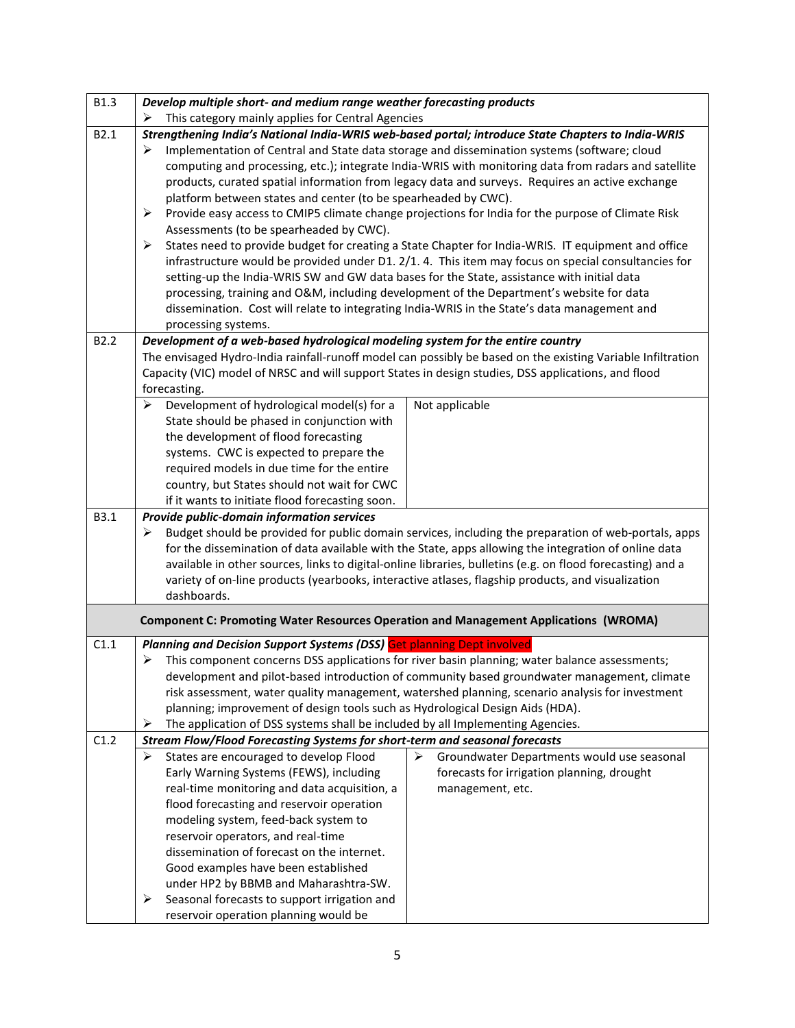| <b>B1.3</b>      | Develop multiple short- and medium range weather forecasting products                                                                                                                                                                                                                                                                                                                                                                                                                                                                                                                                                                                                                                                                                                                                                                                                                                                                                                                                                                                                                                                                                                       |  |
|------------------|-----------------------------------------------------------------------------------------------------------------------------------------------------------------------------------------------------------------------------------------------------------------------------------------------------------------------------------------------------------------------------------------------------------------------------------------------------------------------------------------------------------------------------------------------------------------------------------------------------------------------------------------------------------------------------------------------------------------------------------------------------------------------------------------------------------------------------------------------------------------------------------------------------------------------------------------------------------------------------------------------------------------------------------------------------------------------------------------------------------------------------------------------------------------------------|--|
|                  | This category mainly applies for Central Agencies                                                                                                                                                                                                                                                                                                                                                                                                                                                                                                                                                                                                                                                                                                                                                                                                                                                                                                                                                                                                                                                                                                                           |  |
| B2.1             | Strengthening India's National India-WRIS web-based portal; introduce State Chapters to India-WRIS<br>Implementation of Central and State data storage and dissemination systems (software; cloud<br>➤<br>computing and processing, etc.); integrate India-WRIS with monitoring data from radars and satellite<br>products, curated spatial information from legacy data and surveys. Requires an active exchange<br>platform between states and center (to be spearheaded by CWC).<br>➤<br>Provide easy access to CMIP5 climate change projections for India for the purpose of Climate Risk<br>Assessments (to be spearheaded by CWC).<br>➤<br>States need to provide budget for creating a State Chapter for India-WRIS. IT equipment and office<br>infrastructure would be provided under D1. 2/1. 4. This item may focus on special consultancies for<br>setting-up the India-WRIS SW and GW data bases for the State, assistance with initial data<br>processing, training and O&M, including development of the Department's website for data<br>dissemination. Cost will relate to integrating India-WRIS in the State's data management and<br>processing systems. |  |
| B <sub>2.2</sub> | Development of a web-based hydrological modeling system for the entire country<br>The envisaged Hydro-India rainfall-runoff model can possibly be based on the existing Variable Infiltration<br>Capacity (VIC) model of NRSC and will support States in design studies, DSS applications, and flood<br>forecasting.                                                                                                                                                                                                                                                                                                                                                                                                                                                                                                                                                                                                                                                                                                                                                                                                                                                        |  |
|                  | Development of hydrological model(s) for a<br>Not applicable<br>⋗<br>State should be phased in conjunction with<br>the development of flood forecasting<br>systems. CWC is expected to prepare the<br>required models in due time for the entire<br>country, but States should not wait for CWC<br>if it wants to initiate flood forecasting soon.                                                                                                                                                                                                                                                                                                                                                                                                                                                                                                                                                                                                                                                                                                                                                                                                                          |  |
| B3.1             | Provide public-domain information services<br>Budget should be provided for public domain services, including the preparation of web-portals, apps<br>➤<br>for the dissemination of data available with the State, apps allowing the integration of online data<br>available in other sources, links to digital-online libraries, bulletins (e.g. on flood forecasting) and a<br>variety of on-line products (yearbooks, interactive atlases, flagship products, and visualization<br>dashboards.                                                                                                                                                                                                                                                                                                                                                                                                                                                                                                                                                                                                                                                                           |  |
|                  | <b>Component C: Promoting Water Resources Operation and Management Applications (WROMA)</b>                                                                                                                                                                                                                                                                                                                                                                                                                                                                                                                                                                                                                                                                                                                                                                                                                                                                                                                                                                                                                                                                                 |  |
| C1.1             | Planning and Decision Support Systems (DSS) Get planning Dept involved<br>This component concerns DSS applications for river basin planning; water balance assessments;<br>➤<br>development and pilot-based introduction of community based groundwater management, climate<br>risk assessment, water quality management, watershed planning, scenario analysis for investment<br>planning; improvement of design tools such as Hydrological Design Aids (HDA).<br>The application of DSS systems shall be included by all Implementing Agencies.<br>➤                                                                                                                                                                                                                                                                                                                                                                                                                                                                                                                                                                                                                      |  |
| C1.2             | Stream Flow/Flood Forecasting Systems for short-term and seasonal forecasts                                                                                                                                                                                                                                                                                                                                                                                                                                                                                                                                                                                                                                                                                                                                                                                                                                                                                                                                                                                                                                                                                                 |  |
|                  | ➤<br>States are encouraged to develop Flood<br>≻<br>Groundwater Departments would use seasonal<br>Early Warning Systems (FEWS), including<br>forecasts for irrigation planning, drought<br>real-time monitoring and data acquisition, a<br>management, etc.<br>flood forecasting and reservoir operation<br>modeling system, feed-back system to<br>reservoir operators, and real-time<br>dissemination of forecast on the internet.<br>Good examples have been established<br>under HP2 by BBMB and Maharashtra-SW.<br>Seasonal forecasts to support irrigation and<br>➤<br>reservoir operation planning would be                                                                                                                                                                                                                                                                                                                                                                                                                                                                                                                                                          |  |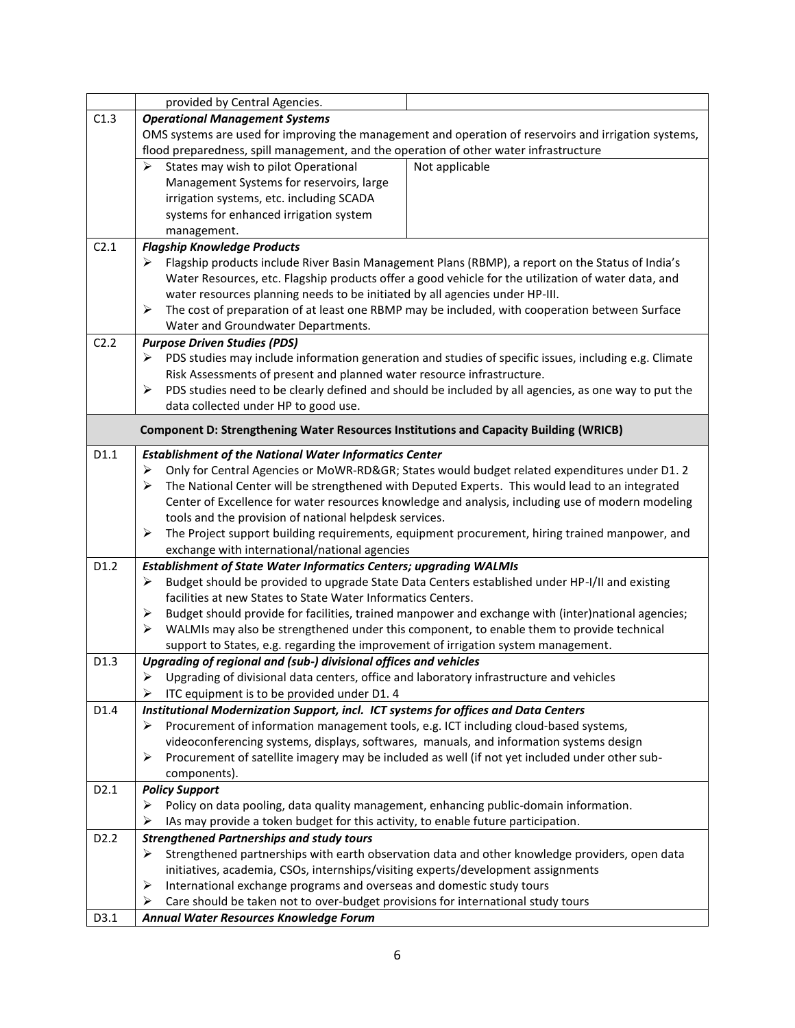|                   | provided by Central Agencies.                                                                         |                                                                                                       |  |
|-------------------|-------------------------------------------------------------------------------------------------------|-------------------------------------------------------------------------------------------------------|--|
| C1.3              | <b>Operational Management Systems</b>                                                                 |                                                                                                       |  |
|                   | OMS systems are used for improving the management and operation of reservoirs and irrigation systems, |                                                                                                       |  |
|                   | flood preparedness, spill management, and the operation of other water infrastructure                 |                                                                                                       |  |
|                   | States may wish to pilot Operational<br>≻                                                             | Not applicable                                                                                        |  |
|                   | Management Systems for reservoirs, large                                                              |                                                                                                       |  |
|                   | irrigation systems, etc. including SCADA                                                              |                                                                                                       |  |
|                   | systems for enhanced irrigation system                                                                |                                                                                                       |  |
|                   | management.                                                                                           |                                                                                                       |  |
| C2.1              | <b>Flagship Knowledge Products</b>                                                                    |                                                                                                       |  |
|                   | Flagship products include River Basin Management Plans (RBMP), a report on the Status of India's<br>➤ |                                                                                                       |  |
|                   | Water Resources, etc. Flagship products offer a good vehicle for the utilization of water data, and   |                                                                                                       |  |
|                   | water resources planning needs to be initiated by all agencies under HP-III.                          |                                                                                                       |  |
|                   | The cost of preparation of at least one RBMP may be included, with cooperation between Surface<br>➤   |                                                                                                       |  |
|                   | Water and Groundwater Departments.                                                                    |                                                                                                       |  |
| C2.2              | <b>Purpose Driven Studies (PDS)</b>                                                                   |                                                                                                       |  |
|                   | ➤                                                                                                     | PDS studies may include information generation and studies of specific issues, including e.g. Climate |  |
|                   | Risk Assessments of present and planned water resource infrastructure.                                |                                                                                                       |  |
|                   | ➤                                                                                                     | PDS studies need to be clearly defined and should be included by all agencies, as one way to put the  |  |
|                   | data collected under HP to good use.                                                                  |                                                                                                       |  |
|                   |                                                                                                       |                                                                                                       |  |
|                   | Component D: Strengthening Water Resources Institutions and Capacity Building (WRICB)                 |                                                                                                       |  |
| D1.1              | <b>Establishment of the National Water Informatics Center</b>                                         |                                                                                                       |  |
|                   | ➤                                                                                                     | Only for Central Agencies or MoWR-RD&GR States would budget related expenditures under D1.2           |  |
|                   | ➤                                                                                                     | The National Center will be strengthened with Deputed Experts. This would lead to an integrated       |  |
|                   | Center of Excellence for water resources knowledge and analysis, including use of modern modeling     |                                                                                                       |  |
|                   | tools and the provision of national helpdesk services.                                                |                                                                                                       |  |
|                   | ➤                                                                                                     | The Project support building requirements, equipment procurement, hiring trained manpower, and        |  |
|                   | exchange with international/national agencies                                                         |                                                                                                       |  |
| D1.2              | <b>Establishment of State Water Informatics Centers; upgrading WALMIs</b>                             |                                                                                                       |  |
|                   | ➤                                                                                                     | Budget should be provided to upgrade State Data Centers established under HP-I/II and existing        |  |
|                   | facilities at new States to State Water Informatics Centers.                                          |                                                                                                       |  |
|                   | ➤                                                                                                     | Budget should provide for facilities, trained manpower and exchange with (inter)national agencies;    |  |
|                   | $\blacktriangleright$                                                                                 | WALMIs may also be strengthened under this component, to enable them to provide technical             |  |
|                   | support to States, e.g. regarding the improvement of irrigation system management.                    |                                                                                                       |  |
| D1.3              | Upgrading of regional and (sub-) divisional offices and vehicles                                      |                                                                                                       |  |
|                   | Upgrading of divisional data centers, office and laboratory infrastructure and vehicles               |                                                                                                       |  |
|                   | ITC equipment is to be provided under D1. 4<br>⋗                                                      |                                                                                                       |  |
| D1.4              | Institutional Modernization Support, incl. ICT systems for offices and Data Centers                   |                                                                                                       |  |
|                   | Procurement of information management tools, e.g. ICT including cloud-based systems,<br>➤             |                                                                                                       |  |
|                   | videoconferencing systems, displays, softwares, manuals, and information systems design               |                                                                                                       |  |
|                   | ➤                                                                                                     | Procurement of satellite imagery may be included as well (if not yet included under other sub-        |  |
|                   | components).                                                                                          |                                                                                                       |  |
| D <sub>2.1</sub>  | <b>Policy Support</b>                                                                                 |                                                                                                       |  |
|                   | Policy on data pooling, data quality management, enhancing public-domain information.<br>➤            |                                                                                                       |  |
|                   | IAs may provide a token budget for this activity, to enable future participation.<br>➤                |                                                                                                       |  |
| D <sub>2</sub> .2 | <b>Strengthened Partnerships and study tours</b>                                                      |                                                                                                       |  |
|                   | ➤                                                                                                     | Strengthened partnerships with earth observation data and other knowledge providers, open data        |  |
|                   | initiatives, academia, CSOs, internships/visiting experts/development assignments                     |                                                                                                       |  |
|                   | International exchange programs and overseas and domestic study tours<br>➤                            |                                                                                                       |  |
|                   | Care should be taken not to over-budget provisions for international study tours<br>➤                 |                                                                                                       |  |
| D3.1              | Annual Water Resources Knowledge Forum                                                                |                                                                                                       |  |